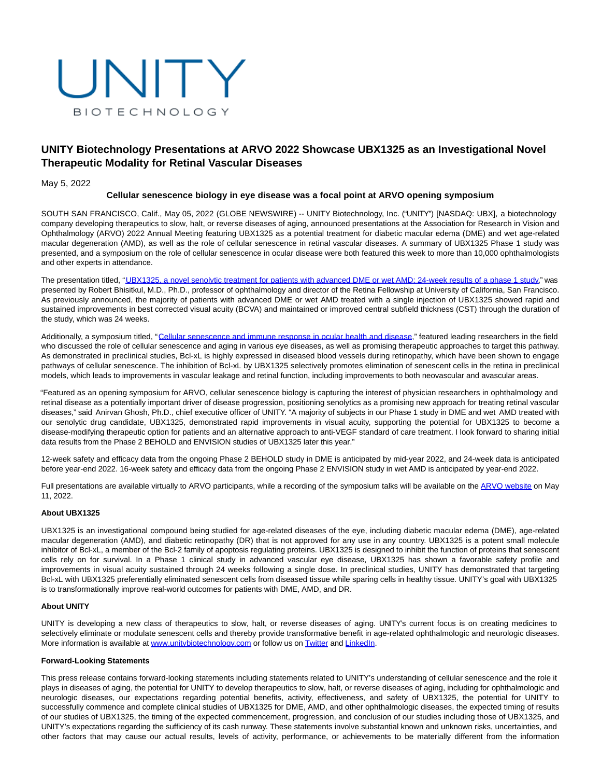

# **UNITY Biotechnology Presentations at ARVO 2022 Showcase UBX1325 as an Investigational Novel Therapeutic Modality for Retinal Vascular Diseases**

### May 5, 2022

### **Cellular senescence biology in eye disease was a focal point at ARVO opening symposium**

SOUTH SAN FRANCISCO, Calif., May 05, 2022 (GLOBE NEWSWIRE) -- UNITY Biotechnology, Inc. ("UNITY") [NASDAQ: UBX], a biotechnology company developing therapeutics to slow, halt, or reverse diseases of aging, announced presentations at the Association for Research in Vision and Ophthalmology (ARVO) 2022 Annual Meeting featuring UBX1325 as a potential treatment for diabetic macular edema (DME) and wet age-related macular degeneration (AMD), as well as the role of cellular senescence in retinal vascular diseases. A summary of UBX1325 Phase 1 study was presented, and a symposium on the role of cellular senescence in ocular disease were both featured this week to more than 10,000 ophthalmologists and other experts in attendance.

The presentation titled, ["UBX1325, a novel senolytic treatment for patients with advanced DME or wet AMD: 24-week results of a phase 1 study,"](https://www.globenewswire.com/Tracker?data=rcc3UsVXWQUk3r61lvqQcGBML202NnxNdoFmpXTDSy5cP6fz2ta7XTk5sk3V1Gg0JupOOv7tf2S_z8eruG8KTUzUkmiEbD4MK2BmR66nnXXSLKNATfClw8Tg7-Fo_JOxVlSjOV5slIawiUlcZgbETNK67rzjbRtPbMHdG1fRxvwDj2ZVNbP4YLA44a0n921HIH7tY6tQyGL9UqvgONWHWMRMeQkAzsq8jOKRofYrohVld-Me2_bT6Vl_EHOmxfv3) was presented by Robert Bhisitkul, M.D., Ph.D., professor of ophthalmology and director of the Retina Fellowship at University of California, San Francisco. As previously announced, the majority of patients with advanced DME or wet AMD treated with a single injection of UBX1325 showed rapid and sustained improvements in best corrected visual acuity (BCVA) and maintained or improved central subfield thickness (CST) through the duration of the study, which was 24 weeks.

Additionally, a symposium titled, ["Cellular senescence and immune response in ocular health and disease,"](https://www.globenewswire.com/Tracker?data=28jNvuP8xhKK0lYxFGrw-Bs1RaUzJUev3aejt3hDagITxWGGUKMVj4MEakxh5aq2zThHD33cijGpMZIzFtOD-K5e6ZhtVjHNH8b2wtAM5609IpQSyqfxwSiRUFrcd-2CnpQevKJSvHg4evALaFDEUjKajhbmA5iJrXLRgdepQN5guFwCsWrBjl2PPQzet4Ra) featured leading researchers in the field who discussed the role of cellular senescence and aging in various eye diseases, as well as promising therapeutic approaches to target this pathway. As demonstrated in preclinical studies, Bcl-xL is highly expressed in diseased blood vessels during retinopathy, which have been shown to engage pathways of cellular senescence. The inhibition of Bcl-xL by UBX1325 selectively promotes elimination of senescent cells in the retina in preclinical models, which leads to improvements in vascular leakage and retinal function, including improvements to both neovascular and avascular areas.

"Featured as an opening symposium for ARVO, cellular senescence biology is capturing the interest of physician researchers in ophthalmology and retinal disease as a potentially important driver of disease progression, positioning senolytics as a promising new approach for treating retinal vascular diseases," said Anirvan Ghosh, Ph.D., chief executive officer of UNITY. "A majority of subjects in our Phase 1 study in DME and wet AMD treated with our senolytic drug candidate, UBX1325, demonstrated rapid improvements in visual acuity, supporting the potential for UBX1325 to become a disease-modifying therapeutic option for patients and an alternative approach to anti-VEGF standard of care treatment. I look forward to sharing initial data results from the Phase 2 BEHOLD and ENVISION studies of UBX1325 later this year."

12-week safety and efficacy data from the ongoing Phase 2 BEHOLD study in DME is anticipated by mid-year 2022, and 24-week data is anticipated before year-end 2022. 16-week safety and efficacy data from the ongoing Phase 2 ENVISION study in wet AMD is anticipated by year-end 2022.

Full presentations are available virtually to ARVO participants, while a recording of the symposium talks will be available on the [ARVO website o](https://www.globenewswire.com/Tracker?data=GCgf2nCln0lbBTjJB8Us3zspasNrGLanRNkPHUKf5wU3wMvJqn1vWfBYBIvGhbHUarSeErLCr-VfOdUYLK7MgC4eQeOw_2sRJiLHW1ALj1CtoHdWWoe-24CpB3YdTujS88kJe7Ul_inGYKUd1BgWRwIXA8S6DE0KcFijXYGf3Ms0KKF8naRRsyysOktRIQ3GSlmAWUw0-VLAxUoAaKcuoA==)n May 11, 2022.

## **About UBX1325**

UBX1325 is an investigational compound being studied for age-related diseases of the eye, including diabetic macular edema (DME), age-related macular degeneration (AMD), and diabetic retinopathy (DR) that is not approved for any use in any country. UBX1325 is a potent small molecule inhibitor of Bcl-xL, a member of the Bcl-2 family of apoptosis regulating proteins. UBX1325 is designed to inhibit the function of proteins that senescent cells rely on for survival. In a Phase 1 clinical study in advanced vascular eye disease, UBX1325 has shown a favorable safety profile and improvements in visual acuity sustained through 24 weeks following a single dose. In preclinical studies, UNITY has demonstrated that targeting Bcl-xL with UBX1325 preferentially eliminated senescent cells from diseased tissue while sparing cells in healthy tissue. UNITY's goal with UBX1325 is to transformationally improve real-world outcomes for patients with DME, AMD, and DR.

# **About UNITY**

UNITY is developing a new class of therapeutics to slow, halt, or reverse diseases of aging. UNITY's current focus is on creating medicines to selectively eliminate or modulate senescent cells and thereby provide transformative benefit in age-related ophthalmologic and neurologic diseases. More information is available at [www.unitybiotechnology.com o](https://www.globenewswire.com/Tracker?data=QnSbL4SpVpG0hkPlVRs12TSfwD5MVAM2-9E_JgCTEJNbi7Dw2Oh5XUOqOUfq0OkPWDLopn3E3G0kxY-OLfumVNucXg4lmboDP-62jwMQbZs=)r follow us on [Twitter a](https://www.globenewswire.com/Tracker?data=1u8O8awNfCihW1ew7nBeRXv-nP-fIa7KJ04FULkDnf-ELt-Ob7pdwAGB_QfwPCgl6xtqVmuP2F2hLLjks144Pw==)nd [LinkedIn.](https://www.globenewswire.com/Tracker?data=X7fAFQabSAcoGJ0BWM5bzEpL8ZqB-4i6Hn0CuaOS0QXoqndRZColBB35ky0fIRb_XCagrFO5VwMv-LkuuqBaIHqpUXV6ic3qiYvcftW7kHJnpTcjWPGabDf5F2onQ6xU)

#### **Forward-Looking Statements**

This press release contains forward-looking statements including statements related to UNITY's understanding of cellular senescence and the role it plays in diseases of aging, the potential for UNITY to develop therapeutics to slow, halt, or reverse diseases of aging, including for ophthalmologic and neurologic diseases, our expectations regarding potential benefits, activity, effectiveness, and safety of UBX1325, the potential for UNITY to successfully commence and complete clinical studies of UBX1325 for DME, AMD, and other ophthalmologic diseases, the expected timing of results of our studies of UBX1325, the timing of the expected commencement, progression, and conclusion of our studies including those of UBX1325, and UNITY's expectations regarding the sufficiency of its cash runway. These statements involve substantial known and unknown risks, uncertainties, and other factors that may cause our actual results, levels of activity, performance, or achievements to be materially different from the information